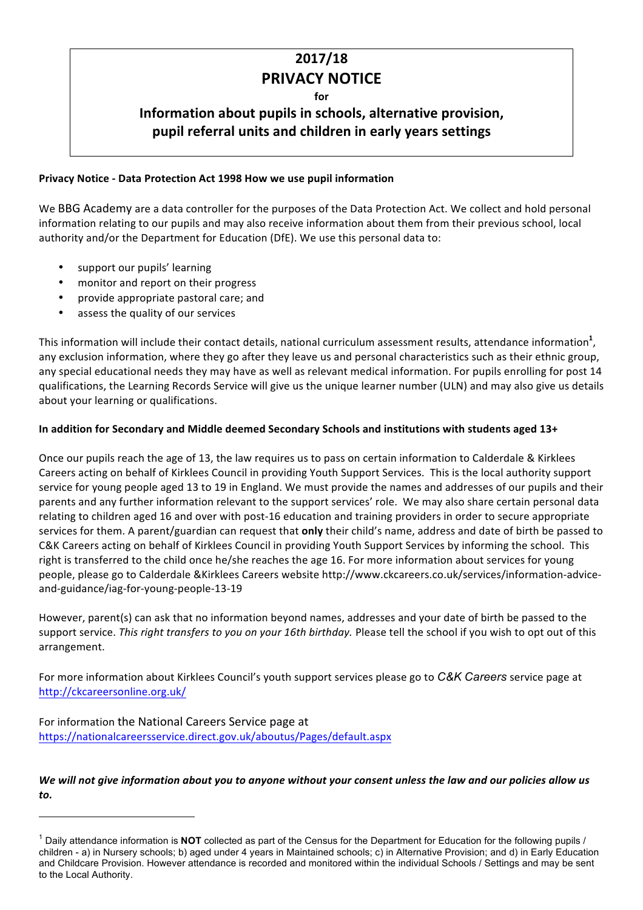# **2017/18 PRIVACY NOTICE**

**for**

## **Information about pupils in schools, alternative provision,** pupil referral units and children in early years settings

#### **Privacy Notice - Data Protection Act 1998 How we use pupil information**

We BBG Academy are a data controller for the purposes of the Data Protection Act. We collect and hold personal information relating to our pupils and may also receive information about them from their previous school, local authority and/or the Department for Education (DfE). We use this personal data to:

- support our pupils' learning
- monitor and report on their progress
- provide appropriate pastoral care; and
- assess the quality of our services

This information will include their contact details, national curriculum assessment results, attendance information<sup>1</sup>, any exclusion information, where they go after they leave us and personal characteristics such as their ethnic group, any special educational needs they may have as well as relevant medical information. For pupils enrolling for post 14 qualifications, the Learning Records Service will give us the unique learner number (ULN) and may also give us details about your learning or qualifications.

#### In addition for Secondary and Middle deemed Secondary Schools and institutions with students aged 13+

Once our pupils reach the age of 13, the law requires us to pass on certain information to Calderdale & Kirklees Careers acting on behalf of Kirklees Council in providing Youth Support Services. This is the local authority support service for young people aged 13 to 19 in England. We must provide the names and addresses of our pupils and their parents and any further information relevant to the support services' role. We may also share certain personal data relating to children aged 16 and over with post-16 education and training providers in order to secure appropriate services for them. A parent/guardian can request that **only** their child's name, address and date of birth be passed to C&K Careers acting on behalf of Kirklees Council in providing Youth Support Services by informing the school. This right is transferred to the child once he/she reaches the age 16. For more information about services for young people, please go to Calderdale &Kirklees Careers website http://www.ckcareers.co.uk/services/information-adviceand-guidance/iag-for-young-people-13-19

However, parent(s) can ask that no information beyond names, addresses and your date of birth be passed to the support service. This right transfers to you on your 16th birthday. Please tell the school if you wish to opt out of this arrangement.

For more information about Kirklees Council's youth support services please go to *C&K Careers* service page at <http://ckcareersonline.org.uk/>

For information the National Careers Service page at <https://nationalcareersservice.direct.gov.uk/aboutus/Pages/default.aspx>

 $\overline{a}$ 

### We will not give information about you to anyone without your consent unless the law and our policies allow us *to.*

<sup>1</sup> Daily attendance information is **NOT** collected as part of the Census for the Department for Education for the following pupils / children - a) in Nursery schools; b) aged under 4 years in Maintained schools; c) in Alternative Provision; and d) in Early Education and Childcare Provision. However attendance is recorded and monitored within the individual Schools / Settings and may be sent to the Local Authority.